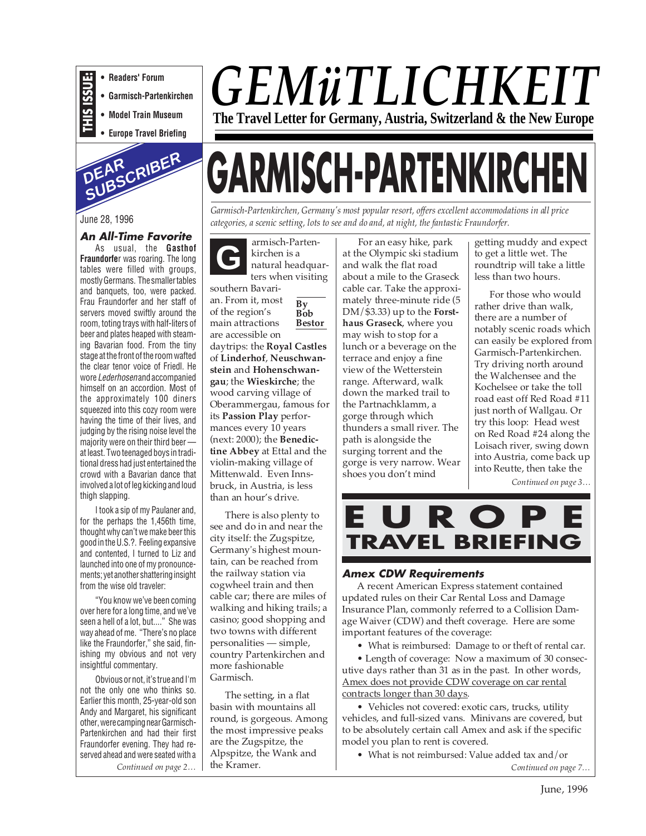

**• Readers' Forum • Garmisch-Partenkirchen**

**• Model Train Museum**

**• Europe Travel Briefing**



#### June 28, 1996

**An All-Time Favorite** As usual, the **Gasthof Fraundorfe**r was roaring. The long tables were filled with groups, mostly Germans. The smaller tables and banquets, too, were packed. Frau Fraundorfer and her staff of servers moved swiftly around the room, toting trays with half-liters of beer and plates heaped with steaming Bavarian food. From the tiny stage at the front of the room wafted the clear tenor voice of Friedl. He wore Lederhosenand accompanied himself on an accordion. Most of the approximately 100 diners squeezed into this cozy room were having the time of their lives, and judging by the rising noise level the majority were on their third beer at least. Two teenaged boys in traditional dress had just entertained the crowd with a Bavarian dance that involved a lot of leg kicking and loud thigh slapping.

I took a sip of my Paulaner and, for the perhaps the 1,456th time, thought why can't we make beer this good in the U.S.?. Feeling expansive and contented, I turned to Liz and launched into one of my pronouncements; yet another shattering insight from the wise old traveler:

"You know we've been coming over here for a long time, and we've seen a hell of a lot, but...." She was way ahead of me. "There's no place like the Fraundorfer," she said, finishing my obvious and not very insightful commentary.

Obvious or not, it's true and I'm not the only one who thinks so. Earlier this month, 25-year-old son Andy and Margaret, his significant other, were camping near Garmisch-Partenkirchen and had their first Fraundorfer evening. They had reserved ahead and were seated with a

## *GEMüTLICHKEIT* **The Travel Letter for Germany, Austria, Switzerland & the New Europe**

# **GARMISCH-PARTENKIRCHEN**

*Garmisch-Partenkirchen, Germany's most popular resort, offers excellent accommodations in all price categories, a scenic setting, lots to see and do and, at night, the fantastic Fraundorfer.*

**By Bob Bestor** armisch-Partenkirchen is a natural headquarters when visiting southern Bavarian. From it, most of the region's main attractions are accessible on daytrips: the **Royal Castles** of **Linderhof**, **Neuschwanstein** and **Hohenschwangau**; the **Wieskirche**; the wood carving village of Oberammergau, famous for its **Passion Play** performances every 10 years (next: 2000); the **Benedictine Abbey** at Ettal and the violin-making village of Mittenwald. Even Innsbruck, in Austria, is less than an hour's drive. **G**

There is also plenty to see and do in and near the city itself: the Zugspitze, Germany's highest mountain, can be reached from the railway station via cogwheel train and then cable car; there are miles of walking and hiking trails; a casino; good shopping and two towns with different personalities — simple, country Partenkirchen and more fashionable Garmisch.

*Continued on page 2… Continued on page 7…* The setting, in a flat basin with mountains all round, is gorgeous. Among the most impressive peaks are the Zugspitze, the Alpspitze, the Wank and the Kramer.

For an easy hike, park at the Olympic ski stadium and walk the flat road about a mile to the Graseck cable car. Take the approximately three-minute ride (5 DM/\$3.33) up to the **Forsthaus Graseck**, where you may wish to stop for a lunch or a beverage on the terrace and enjoy a fine view of the Wetterstein range. Afterward, walk down the marked trail to the Partnachklamm, a gorge through which thunders a small river. The path is alongside the surging torrent and the gorge is very narrow. Wear shoes you don't mind

getting muddy and expect to get a little wet. The roundtrip will take a little less than two hours.

For those who would rather drive than walk, there are a number of notably scenic roads which can easily be explored from Garmisch-Partenkirchen. Try driving north around the Walchensee and the Kochelsee or take the toll road east off Red Road #11 just north of Wallgau. Or try this loop: Head west on Red Road #24 along the Loisach river, swing down into Austria, come back up into Reutte, then take the

*Continued on page 3…*



#### **Amex CDW Requirements**

A recent American Express statement contained updated rules on their Car Rental Loss and Damage Insurance Plan, commonly referred to a Collision Damage Waiver (CDW) and theft coverage. Here are some important features of the coverage:

• What is reimbursed: Damage to or theft of rental car.

• Length of coverage: Now a maximum of 30 consecutive days rather than 31 as in the past. In other words, Amex does not provide CDW coverage on car rental contracts longer than 30 days.

• Vehicles not covered: exotic cars, trucks, utility vehicles, and full-sized vans. Minivans are covered, but to be absolutely certain call Amex and ask if the specific model you plan to rent is covered.

• What is not reimbursed: Value added tax and/or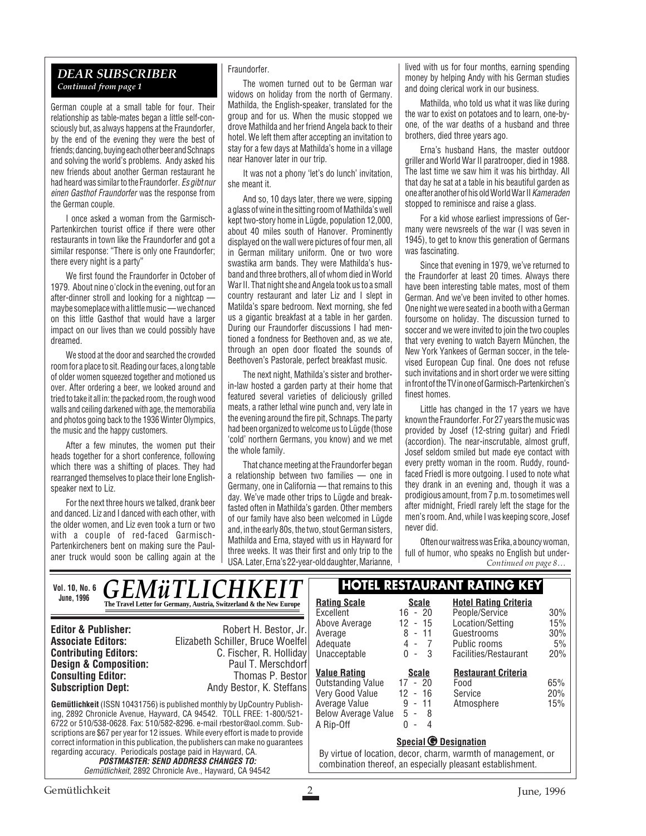#### *DEAR SUBSCRIBER Continued from page 1*

German couple at a small table for four. Their relationship as table-mates began a little self-consciously but, as always happens at the Fraundorfer, by the end of the evening they were the best of friends; dancing, buying each other beer and Schnaps and solving the world's problems. Andy asked his new friends about another German restaurant he had heard was similar to the Fraundorfer. Es gibt nur einen Gasthof Fraundorfer was the response from the German couple.

I once asked a woman from the Garmisch-Partenkirchen tourist office if there were other restaurants in town like the Fraundorfer and got a similar response: "There is only one Fraundorfer; there every night is a party"

We first found the Fraundorfer in October of 1979. About nine o'clock in the evening, out for an after-dinner stroll and looking for a nightcap maybe someplace with a little music — we chanced on this little Gasthof that would have a larger impact on our lives than we could possibly have dreamed.

We stood at the door and searched the crowded room for a place to sit. Reading our faces, a long table of older women squeezed together and motioned us over. After ordering a beer, we looked around and tried to take it all in: the packed room, the rough wood walls and ceiling darkened with age, the memorabilia and photos going back to the 1936 Winter Olympics, the music and the happy customers.

After a few minutes, the women put their heads together for a short conference, following which there was a shifting of places. They had rearranged themselves to place their lone Englishspeaker next to Liz.

For the next three hours we talked, drank beer and danced. Liz and I danced with each other, with the older women, and Liz even took a turn or two with a couple of red-faced Garmisch-Partenkircheners bent on making sure the Paulaner truck would soon be calling again at the

#### Fraundorfer.

The women turned out to be German war widows on holiday from the north of Germany. Mathilda, the English-speaker, translated for the group and for us. When the music stopped we drove Mathilda and her friend Angela back to their hotel. We left them after accepting an invitation to stay for a few days at Mathilda's home in a village near Hanover later in our trip.

It was not a phony 'let's do lunch' invitation, she meant it.

And so, 10 days later, there we were, sipping a glass of wine in the sitting room of Mathilda's well kept two-story home in Lügde, population 12,000, about 40 miles south of Hanover. Prominently displayed on the wall were pictures of four men, all in German military uniform. One or two wore swastika arm bands. They were Mathilda's husband and three brothers, all of whom died in World War II. That night she and Angela took us to a small country restaurant and later Liz and I slept in Matilda's spare bedroom. Next morning, she fed us a gigantic breakfast at a table in her garden. During our Fraundorfer discussions I had mentioned a fondness for Beethoven and, as we ate, through an open door floated the sounds of Beethoven's Pastorale, perfect breakfast music.

The next night, Mathilda's sister and brotherin-law hosted a garden party at their home that featured several varieties of deliciously grilled meats, a rather lethal wine punch and, very late in the evening around the fire pit, Schnaps. The party had been organized to welcome us to Lügde (those 'cold' northern Germans, you know) and we met the whole family.

That chance meeting at the Fraundorfer began a relationship between two families — one in Germany, one in California — that remains to this day. We've made other trips to Lügde and breakfasted often in Mathilda's garden. Other members of our family have also been welcomed in Lügde and, in the early 80s, the two, stout German sisters, Mathilda and Erna, stayed with us in Hayward for three weeks. It was their first and only trip to the USA. Later, Erna's 22-year-old daughter, Marianne,

lived with us for four months, earning spending money by helping Andy with his German studies and doing clerical work in our business.

Mathilda, who told us what it was like during the war to exist on potatoes and to learn, one-byone, of the war deaths of a husband and three brothers, died three years ago.

Erna's husband Hans, the master outdoor griller and World War II paratrooper, died in 1988. The last time we saw him it was his birthday. All that day he sat at a table in his beautiful garden as one after another of his old World War II Kameraden stopped to reminisce and raise a glass.

For a kid whose earliest impressions of Germany were newsreels of the war (I was seven in 1945), to get to know this generation of Germans was fascinating.

Since that evening in 1979, we've returned to the Fraundorfer at least 20 times. Always there have been interesting table mates, most of them German. And we've been invited to other homes. One night we were seated in a booth with a German foursome on holiday. The discussion turned to soccer and we were invited to join the two couples that very evening to watch Bayern München, the New York Yankees of German soccer, in the televised European Cup final. One does not refuse such invitations and in short order we were sitting in front of the TV in one of Garmisch-Partenkirchen's finest homes.

Little has changed in the 17 years we have known the Fraundorfer. For 27 years the music was provided by Josef (12-string guitar) and Friedl (accordion). The near-inscrutable, almost gruff, Josef seldom smiled but made eye contact with every pretty woman in the room. Ruddy, roundfaced Friedl is more outgoing. I used to note what they drank in an evening and, though it was a prodigious amount, from 7 p.m. to sometimes well after midnight, Friedl rarely left the stage for the men's room. And, while I was keeping score, Josef never did.

Often our waitress was Erika, a bouncy woman, full of humor, who speaks no English but under-*Continued on page 8…*

#### **Gemütlichkeit** (ISSN 10431756) is published monthly by UpCountry Publishing, 2892 Chronicle Avenue, Hayward, CA 94542. TOLL FREE: 1-800/521- 6722 or 510/538-0628. Fax: 510/582-8296. e-mail rbestor@aol.comm. Subscriptions are \$67 per year for 12 issues. While every effort is made to provide correct information in this publication, the publishers can make no guarantees regarding accuracy. Periodicals postage paid in Hayward, CA. **POSTMASTER: SEND ADDRESS CHANGES TO:** Gemütlichkeit, 2892 Chronicle Ave., Hayward, CA 94542 **Editor & Publisher:** Robert H. Bestor, Jr. **Associate Editors:** Elizabeth Schiller, Bruce Woelfel **Contributing Editors:** C. Fischer, R. Holliday<br>**Design & Composition:** Paul T. Merschdorf **Design & Composition:** Paul T. Merschdorf<br> **Consulting Editor:** Thomas P. Bestor **Consulting Editor:**<br>Subscription Dept: **Subscription Dept:** Andy Bestor, K. Steffans Vol. 10, No. 6 **CFMiTIICHKFIT** RESTAURANT RATING KEY **June, 1996 Rating Scale Scale** Excellent 16 - 20<br>Above Average 12 - 15 Above Average 12 - 15 Average 8 - 11 Adequate 4 - 7<br>Unacceptable 0 - 3 Unacceptable **Hotel Rating Criteria** People/Service 30% Location/Setting 15%<br>Guestrooms 30% Guestrooms Public rooms 5% Facilities/Restaurant 20% **Special © Designation** By virtue of location, decor, charm, warmth of management, or combination thereof, an especially pleasant establishment. **<u>Value Rating</u>**<br> **Cutstanding Value** 17 - 20 Outstanding Value 17 - 20<br>Very Good Value 12 - 16 Very Good Value 12 - 16 Average Value 9 - 11 Below Average Value 5 - 8 A Rip-Off **Restaurant Criteria** Food 65% Service 20%<br>Atmosphere 15% Atmosphere *GEMüTLICHK* **The Travel Letter for Germany, Austria, Switzerland & the New Europe**

Gemütlichkeit 2 June, 1996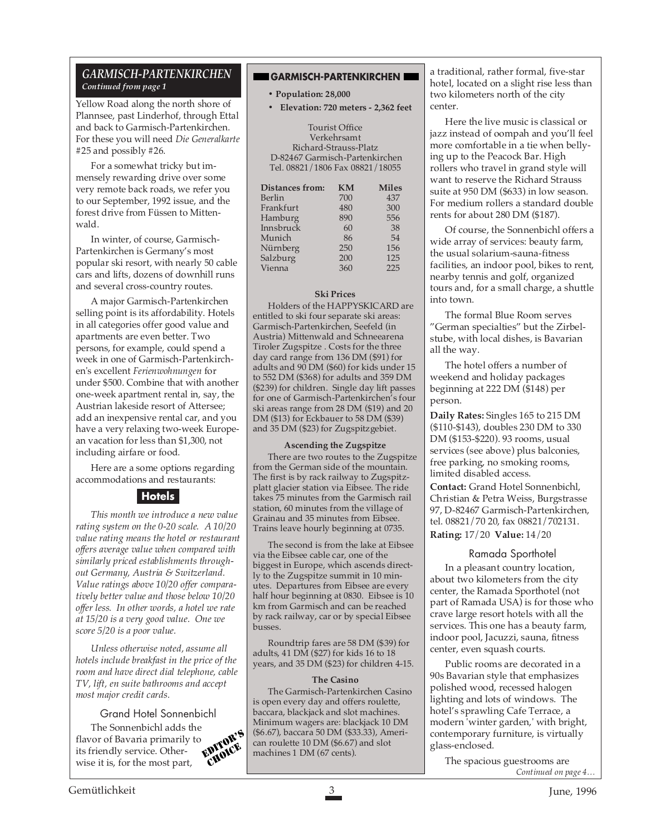#### *GARMISCH-PARTENKIRCHEN Continued from page 1*

Yellow Road along the north shore of Plannsee, past Linderhof, through Ettal and back to Garmisch-Partenkirchen. For these you will need *Die Generalkarte* #25 and possibly #26.

For a somewhat tricky but immensely rewarding drive over some very remote back roads, we refer you to our September, 1992 issue, and the forest drive from Füssen to Mittenwald.

In winter, of course, Garmisch-Partenkirchen is Germany's most popular ski resort, with nearly 50 cable cars and lifts, dozens of downhill runs and several cross-country routes.

A major Garmisch-Partenkirchen selling point is its affordability. Hotels in all categories offer good value and apartments are even better. Two persons, for example, could spend a week in one of Garmisch-Partenkirchen's excellent *Ferienwohnungen* for under \$500. Combine that with another one-week apartment rental in, say, the Austrian lakeside resort of Attersee; add an inexpensive rental car, and you have a very relaxing two-week European vacation for less than \$1,300, not including airfare or food.

Here are a some options regarding accommodations and restaurants:

#### **Hotels**

*This month we introduce a new value rating system on the 0-20 scale. A 10/20 value rating means the hotel or restaurant offers average value when compared with similarly priced establishments throughout Germany, Austria & Switzerland. Value ratings above 10/20 offer comparatively better value and those below 10/20 offer less. In other words, a hotel we rate at 15/20 is a very good value. One we score 5/20 is a poor value.*

*Unless otherwise noted, assume all hotels include breakfast in the price of the room and have direct dial telephone, cable TV, lift, en suite bathrooms and accept most major credit cards.*

### Grand Hotel Sonnenbichl

The Sonnenbichl adds the<br>vor of Bavaria primarily to<br>friendly service  $O^{-1}$ flavor of Bavaria primarily to its friendly service. Otherwise it is, for the most part,

#### **GARMISCH-PARTENKIRCHEN**

#### **• Population: 28,000**

**• Elevation: 720 meters - 2,362 feet**

Tourist Office Verkehrsamt Richard-Strauss-Platz D-82467 Garmisch-Partenkirchen Tel. 08821/1806 Fax 08821/18055

| <b>Distances from:</b> | <b>KM</b> | <b>Miles</b> |
|------------------------|-----------|--------------|
| Berlin                 | 700       | 437          |
| Frankfurt              | 480       | 300          |
| Hamburg                | 890       | 556          |
| Innsbruck              | 60        | 38           |
| Munich                 | 86        | 54           |
| Nürnberg               | 250       | 156          |
| Salzburg               | 200       | 125          |
| Vienna                 | 360       | 225          |

#### **Ski Prices**

Holders of the HAPPYSKICARD are entitled to ski four separate ski areas: Garmisch-Partenkirchen, Seefeld (in Austria) Mittenwald and Schneearena Tiroler Zugspitze . Costs for the three day card range from 136 DM (\$91) for adults and 90 DM (\$60) for kids under 15 to 552 DM (\$368) for adults and 359 DM (\$239) for children. Single day lift passes for one of Garmisch-Partenkirchen's four ski areas range from 28 DM (\$19) and 20 DM (\$13) for Eckbauer to 58 DM (\$39) and 35 DM (\$23) for Zugspitzgebiet.

#### **Ascending the Zugspitze**

There are two routes to the Zugspitze from the German side of the mountain. The first is by rack railway to Zugspitzplatt glacier station via Eibsee. The ride takes 75 minutes from the Garmisch rail station, 60 minutes from the village of Grainau and 35 minutes from Eibsee. Trains leave hourly beginning at 0735.

The second is from the lake at Eibsee via the Eibsee cable car, one of the biggest in Europe, which ascends directly to the Zugspitze summit in 10 minutes. Departures from Eibsee are every half hour beginning at 0830. Eibsee is 10 km from Garmisch and can be reached by rack railway, car or by special Eibsee busses.

Roundtrip fares are 58 DM (\$39) for adults, 41 DM (\$27) for kids 16 to 18 years, and 35 DM (\$23) for children 4-15.

#### **The Casino**

The Garmisch-Partenkirchen Casino is open every day and offers roulette, baccara, blackjack and slot machines. Minimum wagers are: blackjack 10 DM (\$6.67), baccara 50 DM (\$33.33), Ameri- $\frac{\text{OPTOR}}{\text{CMDR}}$  can roulette 10 DM (\$6.67) and slot machines 1 DM (67 cents). machines 1 DM (67 cents).

a traditional, rather formal, five-star hotel, located on a slight rise less than two kilometers north of the city center.

Here the live music is classical or jazz instead of oompah and you'll feel more comfortable in a tie when bellying up to the Peacock Bar. High rollers who travel in grand style will want to reserve the Richard Strauss suite at 950 DM (\$633) in low season. For medium rollers a standard double rents for about 280 DM (\$187).

Of course, the Sonnenbichl offers a wide array of services: beauty farm, the usual solarium-sauna-fitness facilities, an indoor pool, bikes to rent, nearby tennis and golf, organized tours and, for a small charge, a shuttle into town.

The formal Blue Room serves "German specialties" but the Zirbelstube, with local dishes, is Bavarian all the way.

The hotel offers a number of weekend and holiday packages beginning at 222 DM (\$148) per person.

**Daily Rates:** Singles 165 to 215 DM (\$110-\$143), doubles 230 DM to 330 DM (\$153-\$220). 93 rooms, usual services (see above) plus balconies, free parking, no smoking rooms, limited disabled access.

**Contact:** Grand Hotel Sonnenbichl, Christian & Petra Weiss, Burgstrasse 97, D-82467 Garmisch-Partenkirchen, tel. 08821/70 20, fax 08821/702131. **Rating:** 17/20 **Value:** 14/20

#### Ramada Sporthotel

In a pleasant country location, about two kilometers from the city center, the Ramada Sporthotel (not part of Ramada USA) is for those who crave large resort hotels with all the services. This one has a beauty farm, indoor pool, Jacuzzi, sauna, fitness center, even squash courts.

Public rooms are decorated in a 90s Bavarian style that emphasizes polished wood, recessed halogen lighting and lots of windows. The hotel's sprawling Cafe Terrace, a modern 'winter garden,' with bright, contemporary furniture, is virtually glass-enclosed.

The spacious guestrooms are *Continued on page 4…*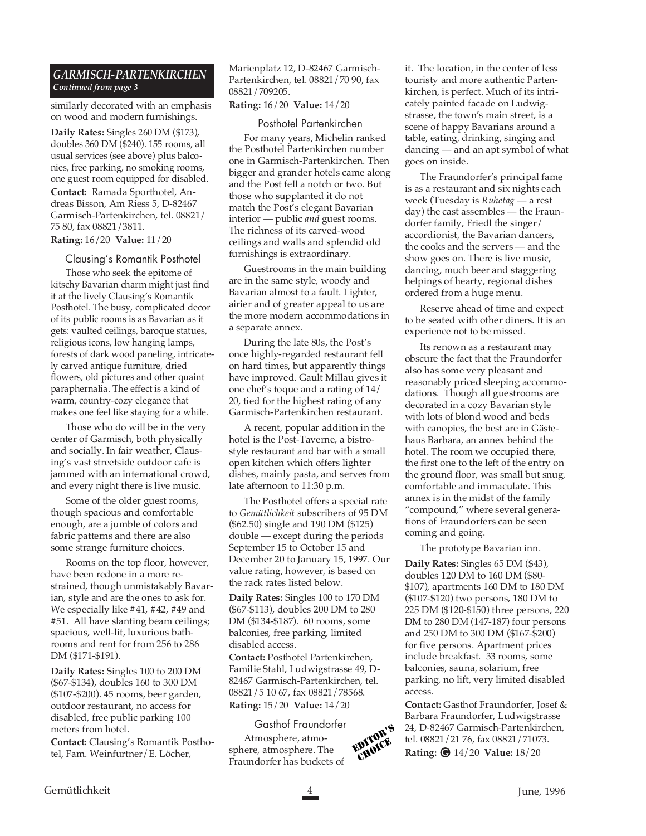#### *GARMISCH-PARTENKIRCHEN Continued from page 3*

similarly decorated with an emphasis on wood and modern furnishings.

**Daily Rates:** Singles 260 DM (\$173), doubles 360 DM (\$240). 155 rooms, all usual services (see above) plus balconies, free parking, no smoking rooms, one guest room equipped for disabled. **Contact:** Ramada Sporthotel, An-

dreas Bisson, Am Riess 5, D-82467 Garmisch-Partenkirchen, tel. 08821/ 75 80, fax 08821/3811.

**Rating:** 16/20 **Value:** 11/20

Clausing's Romantik Posthotel

Those who seek the epitome of kitschy Bavarian charm might just find it at the lively Clausing's Romantik Posthotel. The busy, complicated decor of its public rooms is as Bavarian as it gets: vaulted ceilings, baroque statues, religious icons, low hanging lamps, forests of dark wood paneling, intricately carved antique furniture, dried flowers, old pictures and other quaint paraphernalia. The effect is a kind of warm, country-cozy elegance that makes one feel like staying for a while.

Those who do will be in the very center of Garmisch, both physically and socially. In fair weather, Clausing's vast streetside outdoor cafe is jammed with an international crowd, and every night there is live music.

Some of the older guest rooms, though spacious and comfortable enough, are a jumble of colors and fabric patterns and there are also some strange furniture choices.

Rooms on the top floor, however, have been redone in a more restrained, though unmistakably Bavarian, style and are the ones to ask for. We especially like #41, #42, #49 and #51. All have slanting beam ceilings; spacious, well-lit, luxurious bathrooms and rent for from 256 to 286 DM (\$171-\$191).

**Daily Rates:** Singles 100 to 200 DM (\$67-\$134), doubles 160 to 300 DM (\$107-\$200). 45 rooms, beer garden, outdoor restaurant, no access for disabled, free public parking 100 meters from hotel.

**Contact:** Clausing's Romantik Posthotel, Fam. Weinfurtner/E. Löcher,

Marienplatz 12, D-82467 Garmisch-Partenkirchen, tel. 08821/70 90, fax 08821/709205.

**Rating:** 16/20 **Value:** 14/20

Posthotel Partenkirchen

For many years, Michelin ranked the Posthotel Partenkirchen number one in Garmisch-Partenkirchen. Then bigger and grander hotels came along and the Post fell a notch or two. But those who supplanted it do not match the Post's elegant Bavarian interior — public *and* guest rooms. The richness of its carved-wood ceilings and walls and splendid old furnishings is extraordinary.

Guestrooms in the main building are in the same style, woody and Bavarian almost to a fault. Lighter, airier and of greater appeal to us are the more modern accommodations in a separate annex.

During the late 80s, the Post's once highly-regarded restaurant fell on hard times, but apparently things have improved. Gault Millau gives it one chef's toque and a rating of 14/ 20, tied for the highest rating of any Garmisch-Partenkirchen restaurant.

A recent, popular addition in the hotel is the Post-Taverne, a bistrostyle restaurant and bar with a small open kitchen which offers lighter dishes, mainly pasta, and serves from late afternoon to 11:30 p.m.

The Posthotel offers a special rate to *Gemütlichkeit* subscribers of 95 DM (\$62.50) single and 190 DM (\$125) double — except during the periods September 15 to October 15 and December 20 to January 15, 1997. Our value rating, however, is based on the rack rates listed below.

**Daily Rates:** Singles 100 to 170 DM (\$67-\$113), doubles 200 DM to 280 DM (\$134-\$187).60 rooms, some balconies, free parking, limited disabled access.

**Contact:** Posthotel Partenkirchen, Familie Stahl, Ludwigstrasse 49, D-82467 Garmisch-Partenkirchen, tel. 08821/5 10 67, fax 08821/78568. **Rating:** 15/20 **Value:** 14/20

Gasthof Fraundorfer Atmosphere, atmosphere, atmosphere. The Fraundorfer has buckets of EDITOR'S it. The location, in the center of less touristy and more authentic Partenkirchen, is perfect. Much of its intricately painted facade on Ludwigstrasse, the town's main street, is a scene of happy Bavarians around a table, eating, drinking, singing and dancing — and an apt symbol of what goes on inside.

The Fraundorfer's principal fame is as a restaurant and six nights each week (Tuesday is *Ruhetag* — a rest day) the cast assembles — the Fraundorfer family, Friedl the singer/ accordionist, the Bavarian dancers, the cooks and the servers — and the show goes on. There is live music, dancing, much beer and staggering helpings of hearty, regional dishes ordered from a huge menu.

Reserve ahead of time and expect to be seated with other diners. It is an experience not to be missed.

Its renown as a restaurant may obscure the fact that the Fraundorfer also has some very pleasant and reasonably priced sleeping accommodations. Though all guestrooms are decorated in a cozy Bavarian style with lots of blond wood and beds with canopies, the best are in Gästehaus Barbara, an annex behind the hotel. The room we occupied there, the first one to the left of the entry on the ground floor, was small but snug, comfortable and immaculate. This annex is in the midst of the family "compound," where several generations of Fraundorfers can be seen coming and going.

The prototype Bavarian inn. **Daily Rates:** Singles 65 DM (\$43), doubles 120 DM to 160 DM (\$80- \$107), apartments 160 DM to 180 DM (\$107-\$120) two persons, 180 DM to 225 DM (\$120-\$150) three persons, 220 DM to 280 DM (147-187) four persons and 250 DM to 300 DM (\$167-\$200) for five persons. Apartment prices include breakfast.33 rooms, some balconies, sauna, solarium, free parking, no lift, very limited disabled access.

**Contact:** Gasthof Fraundorfer, Josef & Barbara Fraundorfer, Ludwigstrasse 24, D-82467 Garmisch-Partenkirchen, tel. 08821/21 76, fax 08821/71073. **Rating:** 14/20 **Value:** 18/20 **G**

**CHOICE**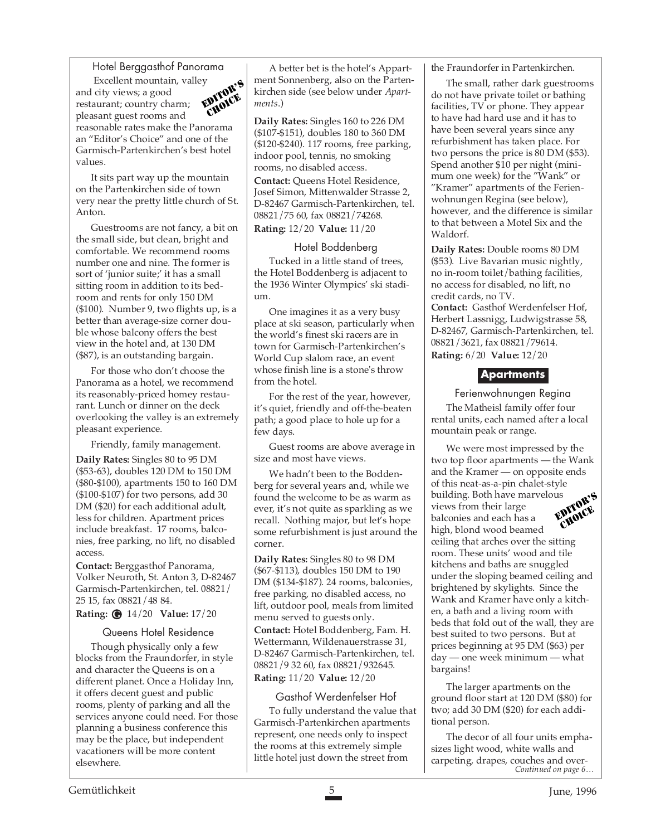Hotel Berggasthof Panorama

 Excellent mountain, valley and city views; a good restaurant; country charm; pleasant guest rooms and reasonable rates make the Panorama an "Editor's Choice" and one of the Garmisch-Partenkirchen's best hotel values. EDITOR'S *HOICE* 

It sits part way up the mountain on the Partenkirchen side of town very near the pretty little church of St. Anton.

Guestrooms are not fancy, a bit on the small side, but clean, bright and comfortable. We recommend rooms number one and nine. The former is sort of 'junior suite;' it has a small sitting room in addition to its bedroom and rents for only 150 DM (\$100). Number 9, two flights up, is a better than average-size corner double whose balcony offers the best view in the hotel and, at 130 DM (\$87), is an outstanding bargain.

For those who don't choose the Panorama as a hotel, we recommend its reasonably-priced homey restaurant. Lunch or dinner on the deck overlooking the valley is an extremely pleasant experience.

Friendly, family management.

**Daily Rates:** Singles 80 to 95 DM (\$53-63), doubles 120 DM to 150 DM (\$80-\$100), apartments 150 to 160 DM (\$100-\$107) for two persons, add 30 DM (\$20) for each additional adult, less for children. Apartment prices include breakfast.17 rooms, balconies, free parking, no lift, no disabled access.

**Contact:** Berggasthof Panorama, Volker Neuroth, St. Anton 3, D-82467 Garmisch-Partenkirchen, tel. 08821/ 25 15, fax 08821/48 84.

**Rating:** 14/20 **Value:** 17/20 **G**

#### Queens Hotel Residence

Though physically only a few blocks from the Fraundorfer, in style and character the Queens is on a different planet. Once a Holiday Inn, it offers decent guest and public rooms, plenty of parking and all the services anyone could need. For those planning a business conference this may be the place, but independent vacationers will be more content elsewhere.

A better bet is the hotel's Appartment Sonnenberg, also on the Partenkirchen side (see below under *Apartments*.)

**Daily Rates:** Singles 160 to 226 DM (\$107-\$151), doubles 180 to 360 DM (\$120-\$240). 117 rooms, free parking, indoor pool, tennis, no smoking rooms, no disabled access. **Contact:** Queens Hotel Residence, Josef Simon, Mittenwalder Strasse 2,

D-82467 Garmisch-Partenkirchen, tel. 08821/75 60, fax 08821/74268. **Rating:** 12/20 **Value:** 11/20

#### Hotel Boddenberg

Tucked in a little stand of trees, the Hotel Boddenberg is adjacent to the 1936 Winter Olympics' ski stadium.

One imagines it as a very busy place at ski season, particularly when the world's finest ski racers are in town for Garmisch-Partenkirchen's World Cup slalom race, an event whose finish line is a stone's throw from the hotel.

For the rest of the year, however, it's quiet, friendly and off-the-beaten path; a good place to hole up for a few days.

Guest rooms are above average in size and most have views.

We hadn't been to the Boddenberg for several years and, while we found the welcome to be as warm as ever, it's not quite as sparkling as we recall. Nothing major, but let's hope some refurbishment is just around the corner.

**Daily Rates:** Singles 80 to 98 DM (\$67-\$113), doubles 150 DM to 190 DM (\$134-\$187). 24 rooms, balconies, free parking, no disabled access, no lift, outdoor pool, meals from limited menu served to guests only. **Contact:** Hotel Boddenberg, Fam. H. Wettermann, Wildenauerstrasse 31, D-82467 Garmisch-Partenkirchen, tel. 08821/9 32 60, fax 08821/932645. **Rating:** 11/20 **Value:** 12/20

#### Gasthof Werdenfelser Hof

To fully understand the value that Garmisch-Partenkirchen apartments represent, one needs only to inspect the rooms at this extremely simple little hotel just down the street from

the Fraundorfer in Partenkirchen.

The small, rather dark guestrooms do not have private toilet or bathing facilities, TV or phone. They appear to have had hard use and it has to have been several years since any refurbishment has taken place. For two persons the price is 80 DM (\$53). Spend another \$10 per night (minimum one week) for the "Wank" or "Kramer" apartments of the Ferienwohnungen Regina (see below), however, and the difference is similar to that between a Motel Six and the Waldorf.

**Daily Rates:** Double rooms 80 DM (\$53).Live Bavarian music nightly, no in-room toilet/bathing facilities, no access for disabled, no lift, no credit cards, no TV.

**Contact:** Gasthof Werdenfelser Hof, Herbert Lassnigg, Ludwigstrasse 58, D-82467, Garmisch-Partenkirchen, tel. 08821/3621, fax 08821/79614. **Rating:** 6/20 **Value:** 12/20

#### **Apartments**

Ferienwohnungen Regina

The Matheisl family offer four rental units, each named after a local mountain peak or range.

We were most impressed by the two top floor apartments — the Wank and the Kramer — on opposite ends of this neat-as-a-pin chalet-style building. Both have marvelous views from their large balconies and each has a high, blond wood beamed EDITOR'S CHOICE

ceiling that arches over the sitting room. These units' wood and tile kitchens and baths are snuggled under the sloping beamed ceiling and brightened by skylights. Since the Wank and Kramer have only a kitchen, a bath and a living room with beds that fold out of the wall, they are best suited to two persons. But at prices beginning at 95 DM (\$63) per day — one week minimum — what bargains!

The larger apartments on the ground floor start at 120 DM (\$80) for two; add 30 DM (\$20) for each additional person.

The decor of all four units emphasizes light wood, white walls and carpeting, drapes, couches and over-*Continued on page 6…*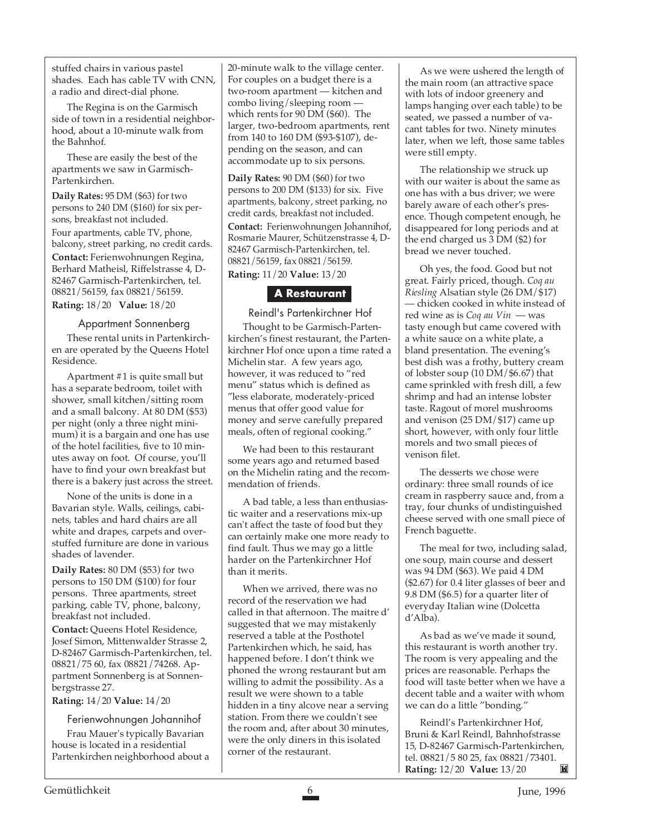stuffed chairs in various pastel shades. Each has cable TV with CNN, a radio and direct-dial phone.

The Regina is on the Garmisch side of town in a residential neighborhood, about a 10-minute walk from the Bahnhof.

These are easily the best of the apartments we saw in Garmisch-Partenkirchen.

**Daily Rates:** 95 DM (\$63) for two persons to 240 DM (\$160) for six persons, breakfast not included. Four apartments, cable TV, phone, balcony, street parking, no credit cards. **Contact:** Ferienwohnungen Regina, Berhard Matheisl, Riffelstrasse 4, D-82467 Garmisch-Partenkirchen, tel. 08821/56159, fax 08821/56159. **Rating:** 18/20 **Value:** 18/20

#### Appartment Sonnenberg

These rental units in Partenkirchen are operated by the Queens Hotel Residence.

Apartment #1 is quite small but has a separate bedroom, toilet with shower, small kitchen/sitting room and a small balcony. At 80 DM (\$53) per night (only a three night minimum) it is a bargain and one has use of the hotel facilities, five to 10 minutes away on foot. Of course, you'll have to find your own breakfast but there is a bakery just across the street.

None of the units is done in a Bavarian style. Walls, ceilings, cabinets, tables and hard chairs are all white and drapes, carpets and overstuffed furniture are done in various shades of lavender.

**Daily Rates:** 80 DM (\$53) for two persons to 150 DM (\$100) for four persons. Three apartments, street parking, cable TV, phone, balcony, breakfast not included. **Contact:** Queens Hotel Residence, Josef Simon, Mittenwalder Strasse 2, D-82467 Garmisch-Partenkirchen, tel. 08821/75 60, fax 08821/74268. Appartment Sonnenberg is at Sonnenbergstrasse 27.

**Rating:** 14/20 **Value:** 14/20

Ferienwohnungen Johannihof Frau Mauer's typically Bavarian house is located in a residential Partenkirchen neighborhood about a 20-minute walk to the village center. For couples on a budget there is a two-room apartment — kitchen and combo living/sleeping room which rents for 90 DM (\$60). The larger, two-bedroom apartments, rent from 140 to 160 DM (\$93-\$107), depending on the season, and can accommodate up to six persons.

**Daily Rates:** 90 DM (\$60) for two persons to 200 DM (\$133) for six. Five apartments, balcony, street parking, no credit cards, breakfast not included. **Contact:** Ferienwohnungen Johannihof, Rosmarie Maurer, Schützenstrasse 4, D-82467 Garmisch-Partenkirchen, tel. 08821/56159, fax 08821/56159.

**Rating:** 11/20 **Value:** 13/20

#### **A Restaurant**

Reindl's Partenkirchner Hof Thought to be Garmisch-Partenkirchen's finest restaurant, the Partenkirchner Hof once upon a time rated a Michelin star. A few years ago, however, it was reduced to "red menu" status which is defined as "less elaborate, moderately-priced menus that offer good value for money and serve carefully prepared meals, often of regional cooking."

We had been to this restaurant some years ago and returned based on the Michelin rating and the recommendation of friends.

A bad table, a less than enthusiastic waiter and a reservations mix-up can't affect the taste of food but they can certainly make one more ready to find fault. Thus we may go a little harder on the Partenkirchner Hof than it merits.

When we arrived, there was no record of the reservation we had called in that afternoon. The maitre d' suggested that we may mistakenly reserved a table at the Posthotel Partenkirchen which, he said, has happened before. I don't think we phoned the wrong restaurant but am willing to admit the possibility. As a result we were shown to a table hidden in a tiny alcove near a serving station. From there we couldn't see the room and, after about 30 minutes, were the only diners in this isolated corner of the restaurant.

As we were ushered the length of the main room (an attractive space with lots of indoor greenery and lamps hanging over each table) to be seated, we passed a number of vacant tables for two. Ninety minutes later, when we left, those same tables were still empty.

The relationship we struck up with our waiter is about the same as one has with a bus driver; we were barely aware of each other's presence. Though competent enough, he disappeared for long periods and at the end charged us 3 DM (\$2) for bread we never touched.

Oh yes, the food. Good but not great. Fairly priced, though. *Coq au Riesling* Alsatian style (26 DM/\$17) — chicken cooked in white instead of red wine as is *Coq au Vin* — was tasty enough but came covered with a white sauce on a white plate, a bland presentation. The evening's best dish was a frothy, buttery cream of lobster soup (10 DM/\$6.67) that came sprinkled with fresh dill, a few shrimp and had an intense lobster taste. Ragout of morel mushrooms and venison (25 DM/\$17) came up short, however, with only four little morels and two small pieces of venison filet.

The desserts we chose were ordinary: three small rounds of ice cream in raspberry sauce and, from a tray, four chunks of undistinguished cheese served with one small piece of French baguette.

The meal for two, including salad, one soup, main course and dessert was 94 DM (\$63). We paid 4 DM (\$2.67) for 0.4 liter glasses of beer and 9.8 DM (\$6.5) for a quarter liter of everyday Italian wine (Dolcetta d'Alba).

As bad as we've made it sound, this restaurant is worth another try. The room is very appealing and the prices are reasonable. Perhaps the food will taste better when we have a decent table and a waiter with whom we can do a little "bonding."

Reindl's Partenkirchner Hof, Bruni & Karl Reindl, Bahnhofstrasse 15, D-82467 Garmisch-Partenkirchen, tel. 08821/5 80 25, fax 08821/73401. **Rating:** 12/20 **Value:** 13/20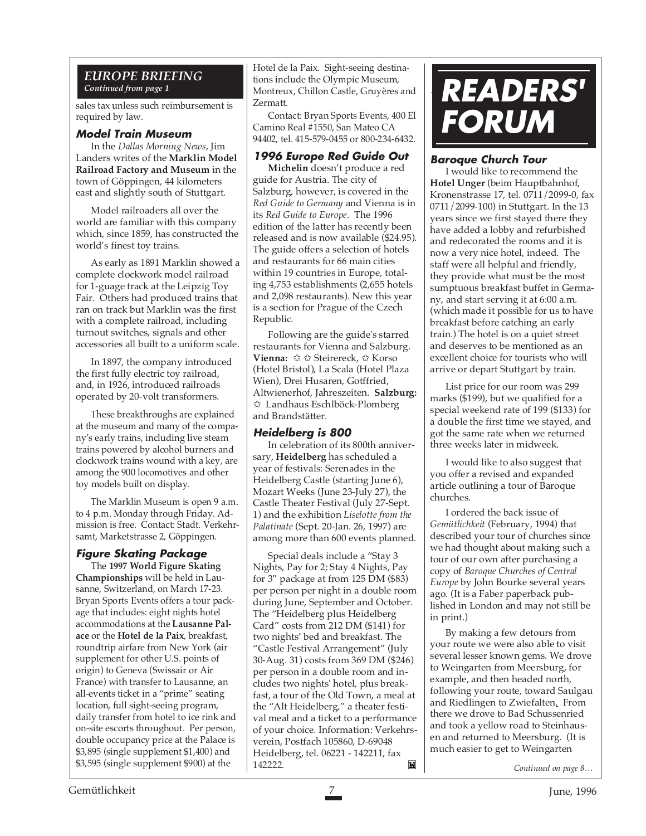#### *EUROPE BRIEFING Continued from page 1*

sales tax unless such reimbursement is required by law.

#### **Model Train Museum**

In the *Dallas Morning News*, Jim Landers writes of the **Marklin Model Railroad Factory and Museum** in the town of Göppingen, 44 kilometers east and slightly south of Stuttgart.

Model railroaders all over the world are familiar with this company which, since 1859, has constructed the world's finest toy trains.

As early as 1891 Marklin showed a complete clockwork model railroad for 1-guage track at the Leipzig Toy Fair. Others had produced trains that ran on track but Marklin was the first with a complete railroad, including turnout switches, signals and other accessories all built to a uniform scale.

In 1897, the company introduced the first fully electric toy railroad, and, in 1926, introduced railroads operated by 20-volt transformers.

These breakthroughs are explained at the museum and many of the company's early trains, including live steam trains powered by alcohol burners and clockwork trains wound with a key, are among the 900 locomotives and other toy models built on display.

The Marklin Museum is open 9 a.m. to 4 p.m. Monday through Friday. Admission is free. Contact: Stadt. Verkehrsamt, Marketstrasse 2, Göppingen.

#### **Figure Skating Package**

The **1997 World Figure Skating Championships** will be held in Lausanne, Switzerland, on March 17-23. Bryan Sports Events offers a tour package that includes: eight nights hotel accommodations at the **Lausanne Palace** or the **Hotel de la Paix**, breakfast, roundtrip airfare from New York (air supplement for other U.S. points of origin) to Geneva (Swissair or Air France) with transfer to Lausanne, an all-events ticket in a "prime" seating location, full sight-seeing program, daily transfer from hotel to ice rink and on-site escorts throughout. Per person, double occupancy price at the Palace is \$3,895 (single supplement \$1,400) and \$3,595 (single supplement \$900) at the

Hotel de la Paix. Sight-seeing destinations include the Olympic Museum, Montreux, Chillon Castle, Gruyères and Zermatt.

Contact: Bryan Sports Events, 400 El Camino Real #1550, San Mateo CA 94402, tel. 415-579-0455 or 800-234-6432.

#### **1996 Europe Red Guide Out**

**Michelin** doesn't produce a red guide for Austria. The city of Salzburg, however, is covered in the *Red Guide to Germany* and Vienna is in its *Red Guide to Europe*. The 1996 edition of the latter has recently been released and is now available (\$24.95). The guide offers a selection of hotels and restaurants for 66 main cities within 19 countries in Europe, totaling 4,753 establishments (2,655 hotels and 2,098 restaurants). New this year is a section for Prague of the Czech Republic.

Following are the guide's starred restaurants for Vienna and Salzburg. **Vienna:** ✩ ✩ Steirereck, ✩ Korso (Hotel Bristol), La Scala (Hotel Plaza Wien), Drei Husaren, Gotffried, Altwienerhof, Jahreszeiten. **Salzburg:** ✩ Landhaus Eschlböck-Plomberg and Brandstätter.

#### **Heidelberg is 800**

In celebration of its 800th anniversary, **Heidelberg** has scheduled a year of festivals: Serenades in the Heidelberg Castle (starting June 6), Mozart Weeks (June 23-July 27), the Castle Theater Festival (July 27-Sept. 1) and the exhibition *Liselotte from the Palatinate* (Sept. 20-Jan. 26, 1997) are among more than 600 events planned.

Special deals include a "Stay 3 Nights, Pay for 2; Stay 4 Nights, Pay for 3" package at from 125 DM (\$83) per person per night in a double room during June, September and October. The "Heidelberg plus Heidelberg Card" costs from 212 DM (\$141) for two nights' bed and breakfast. The "Castle Festival Arrangement" (July 30-Aug. 31) costs from 369 DM (\$246) per person in a double room and includes two nights' hotel, plus breakfast, a tour of the Old Town, a meal at the "Alt Heidelberg," a theater festival meal and a ticket to a performance of your choice. Information: Verkehrsverein, Postfach 105860, D-69048 Heidelberg, tel. 06221 - 142211, fax 142222. *Continued on page 8…*

## **READERS' FORUM**

#### **Baroque Church Tour**

I would like to recommend the **Hotel Unger** (beim Hauptbahnhof, Kronenstrasse 17, tel. 0711/2099-0, fax 0711/2099-100) in Stuttgart. In the 13 years since we first stayed there they have added a lobby and refurbished and redecorated the rooms and it is now a very nice hotel, indeed. The staff were all helpful and friendly, they provide what must be the most sumptuous breakfast buffet in Germany, and start serving it at 6:00 a.m. (which made it possible for us to have breakfast before catching an early train.) The hotel is on a quiet street and deserves to be mentioned as an excellent choice for tourists who will arrive or depart Stuttgart by train.

List price for our room was 299 marks (\$199), but we qualified for a special weekend rate of 199 (\$133) for a double the first time we stayed, and got the same rate when we returned three weeks later in midweek.

I would like to also suggest that you offer a revised and expanded article outlining a tour of Baroque churches.

I ordered the back issue of *Gemütlichkeit* (February, 1994) that described your tour of churches since we had thought about making such a tour of our own after purchasing a copy of *Baroque Churches of Central Europe* by John Bourke several years ago. (It is a Faber paperback published in London and may not still be in print.)

By making a few detours from your route we were also able to visit several lesser known gems. We drove to Weingarten from Meersburg, for example, and then headed north, following your route, toward Saulgau and Riedlingen to Zwiefalten. From there we drove to Bad Schussenried and took a yellow road to Steinhausen and returned to Meersburg. (It is much easier to get to Weingarten